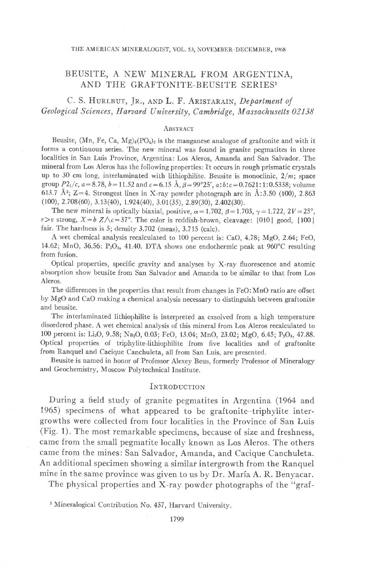# BEUSITE, A NEW MINERAL FROM ARGENTINA, AND THE GRAFTONITE-BEUSITE SERIES<sup>1</sup>

C. S. HURLBUT, JR., AND L. F. ARISTARAIN, Department of Geological Sciences, Harvard University, Cambridge, Massachusetts 02138

### ABSTRACT

Beusite, (Mn, Fe, Ca, Mg)<sub>3</sub>(PO<sub>4</sub>)<sub>2</sub> is the manganese analogue of graftonite and with it forms a continuous series. The new mineral was found in granite pegmatites in three localities in San Luis Province, Argentina: Los Aleros, Amanda and San Salvador. The mineral from Los Aleros has the following properties: It occurs in rough prismatic crystals up to 30 cm long, interlaminated with lithiophilite. Beusite is monoclinic,  $2/m$ ; space group  $P2_1/c$ ,  $a=8.78$ ,  $b=11.52$  and  $c=6.15$  Å,  $\beta=99^{\circ}25'$ ,  $a:b:c=0.7621:1:0.5338$ ; volume 613.7 Å<sup>3</sup>; Z=4. Strongest lines in X-ray powder photograph are in Å:3.50 (100), 2.863  $(100), 2.708(60), 3.13(40), 1.924(40), 3.01(35), 2.89(30), 2.402(30).$ 

The new mineral is optically biaxial, positive,  $\alpha = 1.702$ ,  $\beta = 1.703$ ,  $\gamma = 1.722$ ,  $2V = 25^{\circ}$ ,  $r > v$  strong,  $X = b Z/\sqrt{c} = 37^\circ$ . The color is reddish-brown, cleavage: {010} good, {100} fair. The hardness is  $5$ ; density  $3.702$  (meas),  $3.715$  (calc).

A wet chemical analysis recalculated to 100 percent is: CaO, 4.78; MgO, 2.64; FeO, 14.62; MnO, 36.56:  $P_2O_{5}$ , 41.40. DTA shows one endothermic peak at 960°C resulting from fusion.

Optical properties, specific gravity and analyses by X-ray fluorescence and atomic absorption show beusite from San Salvador and Amanda to be similar to that from Los Aleros.

The differences in the properties that result from changes in FeO: MnO ratio are offset by MgO and CaO making a chemical analysis necessary to distinguish between graftonite and beusite.

The interlaminated lithiophilite is interpreted as exsolved from a high temperature disordered phase. A wet chemical analysis of this mineral from Los Aleros recalculated to 100 percent is: Li<sub>2</sub>O, 9.58; Na<sub>2</sub>O, 0.03; FeO, 13.04; MnO, 23.02; MgO, 6.45; P<sub>2</sub>O<sub>b</sub>, 47.88. Optical properties of triphylite-lithiophilite from five localities and of graftonite from Ranquel and Cacique Canchuleta, all from San Luis, are presented.

Beusite is named in honor of Professor Alexey Beus, formerly Professor of Mineralogy and Geochemistry, Moscow Polytechnical Institute.

### INTRODUCTION

During a field study of granite pegmatites in Argentina (1964 and 1965) specimens of what appeared to be graftonite-triphylite intergrowths were collected from four localities in the Province of San Luis (Fig. 1). The most remarkable specimens, because of size and freshness, came from the small pegmatite locally known as Los Aleros. The others came from the mines: San Salvador, Amanda, and Cacique Canchuleta. An additional specimen showing a similar intergrowth from the Ranquel mine in the same province was given to us by Dr. María A. R. Benyacar.

The physical properties and X-ray powder photographs of the "graf-

<sup>&</sup>lt;sup>1</sup> Mineralogical Contribution No. 457, Harvard University.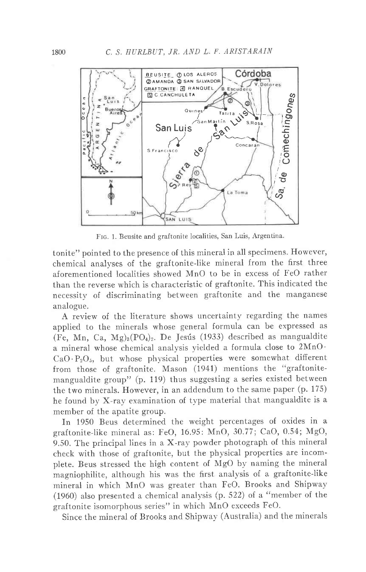

FIG. 1. Beusite and graftonite localities, San Luis, Argentina.

tonite" pointed to the presence of this mineral in all specimens. However, chemical analyses of the graftonite-like mineral from the first three aforementioned localities showed MnO to be in excess of FeO rather than the reverse which is characteristic of graftonite. This indicated the necessity of discriminating between graftonite and the manganese analogue.

A review of the literature shows uncertainty regarding the names applied to the minerals whose general formula can be expressed as (Fe, Mn, Ca, Mg)<sub>3</sub>(PO<sub>4</sub>)<sub>2</sub>. De Jesús (1933) described as mangualdite a mineral whose chemical analysis yielded a formula close to 2MnO.  $CaO \cdot P_2O_5$ , but whose physical properties were somewhat different from those of graftonite. Mason (1941) mentions the "graftonitemangualdite group" (p. 119) thus suggesting a series existed between the two minerals. However, in an addendum to the same paper (p. 175) he found by X-ray examination of type material that mangualdite is a member of the apatite group.

In 1950 Beus determined the weight percentages of oxides in a graftonite-like mineral as: FeO, 16.95: MnO, 30.77; CaO, 0.54; MgO, 9.50. The principal lines in a  $X$ -ray powder photograph of this mineral check with those of graftonite, but the physical properties are incomplete. Beus stressed the high content of MgO by naming the mineral magniophilite, although his was the first analysis of a graftonite-like mineral in which MnO was greater than FeO. Brooks and Shipway (1960) also presented a chemical analysis (p. 522) of a "member of the graftonite isomorphous series" in which MnO exceeds FeO.

Since the mineral of Brooks and Shipway (Australia) and the minerals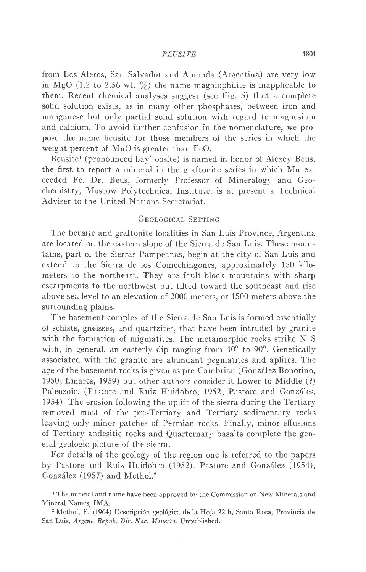from Los Aleros, San Salvador and Amanda (Argentina) are very low in MgO (1.2 to 2.56 wt.  $\%$ ) the name magniophilite is inapplicable to them. Recent chemical analyses suggest (see Fig. 5) that a complete solid solution exists, as in many other phosphates, between iron and manganese but only partial solid solution with regard to magnesium and calcium. To avoid further confusion in the nomenclature, we propose the name beusite for those members of the series in which the weight percent of MnO is greater than FeO.

Beusite<sup>1</sup> (pronounced bay' oosite) is named in honor of Alexey Beus, the first to report a mineral in the graftonite series in which Mn exceeded Fe. Dr. Beus, formerly Professor of Mineralogy and Geochemistry, Moscow Polytechnical Institute, is at present a Technical Adviser to the United Nations Secretariat.

# GEOLOGICAL SETTING

The beusite and graftonite localities in San Luis Province, Argentina are located on the eastern slope of the Sierra de San Luis. These mountains, part of the Sierras Pampeanas, begin at the city of San Luis and extend to the Sierra de los Comechingones, approximately 150 kilometers to the northeast. They are fault-block mountains with sharp escarpments to the northwest but tilted toward the southeast and rise above sea level to an elevation of 2000 meters, or 1500 meters above the surrounding plains.

The basement complex of the Sierra de San Luis is formed essentially of schists, gneisses, and quartzites, that have been intruded by granite with the formation of migmatites. The metamorphic rocks strike N-S with, in general, an easterly dip ranging from  $40^{\circ}$  to  $90^{\circ}$ . Genetically associated with the granite are abundant pegmatites and aplites. The age of the basement rocks is given as pre-Cambrian (González Bonorino, 1950; Linares, 1959) but other authors consider it Lower to Middle (?) Paleozoic. (Pastore and Ruiz Huidobro, 1952; Pastore and Gonzáles, 1954). The erosion following the uplift of the sierra during the Tertiary removed most of the pre-Tertiary and Tertiary sedimentary rocks leaving only minor patches of Permian rocks. Finally, minor effusions of Tertiary andesitic rocks and Quarternary basalts complete the general geologic picture of the sierra.

For details of the geology of the region one is referred to the papers by Pastore and Ruiz Huidobro (1952). Pastore and González (1954), González (1957) and Methol.<sup>2</sup>

<sup>1</sup> The mineral and name have been approved by the Commission on New Minerals and Mineral Names, IMA.

2 Methol, E. (1964) Descripci6n geol6gica de la Hoja 22 h, Santa Rosa, Provincia de San Luis, Argent, Repub. Dir. Nac. Mineria. Unpublished.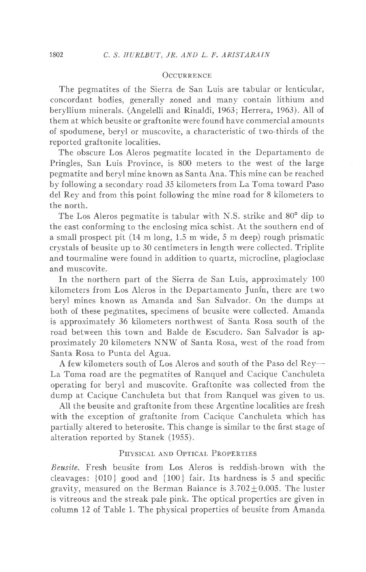## OCCURRENCE

The pegmatites of the Sierra de San Luis are tabular or lenticular, concordant bodies, generally zoned and many contain lithium and beryllium minerals. (Angelelli and Rinaldi, 1963; Herrera, 1963). All of them at which beusite or graftonite were found have commercial amounts of spodumene, beryl or muscovite, a characteristic of two-thirds of the reported graftonite Iocalities.

The obscure Los Aleros pegmatite located in the Departamento de Pringles, San Luis Province, is 800 meters to the west of the large pegmatite and beryl mine known as Santa Ana. This mine can be reached by following a secondary road 35 kilometers from La Toma toward Paso del Rey and from this point following the mine road for 8 kilometers to the north.

The Los Aleros pegmatite is tabular with N.S. strike and 80<sup>°</sup> dip to the east conforming to the enclosing mica schist. At the southern end of a small prospect pit  $(14 \text{ m long}, 1.5 \text{ m wide}, 5 \text{ m deep})$  rough prismatic crystals of beusite up to 30 centimeters in length were collected. Triplite and tourmaline were found in addition to quartz, microcline, plagioclase and muscovite.

In the northern part of the Sierra de San Luis, approximately 100 kilometers from Los Aleros in the Departamento Junin, there are two beryl mines known as Amanda and San Salvador. On the dumps at both of these pegmatites, specimens of beusite were collected. Amanda is approximately 36 kilometers northwest of Santa Rosa south of the road between this town and Balde de Escudero. San Salvador is approximately 20 kilometers NNW of Santa Rosa, west of the road from Santa Rosa to Punta del Agua.

A few kilometers south of Los Aleros and south of the Paso del Rey-La Toma road are the pegmatites of Ranquel and Cacique Canchuleta operating for beryl and muscovite. Graftonite was collected from the dump at Cacique Canchuleta but that from Ranquel was given to us.

AII the beusite and graftonite from these Argentine localities are fresh with the exception of graftonite from Cacique Canchuleta which has partially altered to heterosite. This change is similar to the first stage of alteration reported by Stanek (1955).

# PHYSICAL AND OPTICAL PROPERTIES

Beusite. Fresh beusite from Los Aleros is reddish-brown with the cleavages: {010} good and {100} fair. Its hardness is 5 and specific gravity, measured on the Berman Balance is  $3.702 \pm 0.005$ . The luster is vitreous and the streak pale pink. The optical properties are given in column 12 of Table 1. The physical properties of beusite from Amanda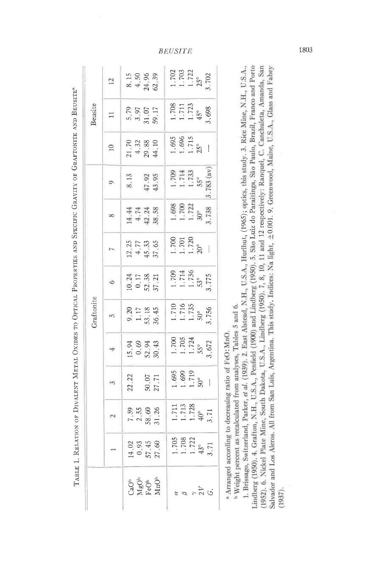|                     |                                                     |                                      |                       |                                                                             | Graftonite                                               |                                                                 |                                |                                                                                     |                                                                                           |                                                             | Beusite                                                  |                                                                              |
|---------------------|-----------------------------------------------------|--------------------------------------|-----------------------|-----------------------------------------------------------------------------|----------------------------------------------------------|-----------------------------------------------------------------|--------------------------------|-------------------------------------------------------------------------------------|-------------------------------------------------------------------------------------------|-------------------------------------------------------------|----------------------------------------------------------|------------------------------------------------------------------------------|
|                     |                                                     | $\mathbf{\hat{z}}$                   | $\tilde{\phantom{a}}$ | 4                                                                           | in,                                                      | ٥                                                               | $\overline{1}$                 | œ                                                                                   | Ö                                                                                         | $\supseteq$                                                 | $\Xi$                                                    | $12 \,$                                                                      |
|                     |                                                     | $7.59$<br>$2.58$<br>$2.82$<br>$2.56$ | 22.22                 | $15943$<br>$0943$<br>$0843$                                                 | $9.17$<br>$1.18$<br>$1.345$<br>$86.45$                   | 10 24<br>0 17<br>52 38<br>37 21                                 | $12.77$<br>$4.5.33$<br>$57.53$ | $\begin{array}{cccc}\n4 & 7 & 7 & 8 \\ 4 & 1 & 1 & 8 \\ 4 & 1 & 1 & 8\n\end{array}$ | $\begin{array}{c} 8.13 \\ 47.92 \\ 43.95 \end{array}$                                     | $\begin{array}{c} 70 \\ 4.32 \\ 29.38 \\ 14.10 \end{array}$ | 5.79<br>3.97<br>31.07<br>59.17                           | $8.15$<br>$4.50$<br>$24.39$<br>$62.39$                                       |
|                     |                                                     |                                      |                       |                                                                             |                                                          |                                                                 |                                |                                                                                     |                                                                                           |                                                             |                                                          |                                                                              |
|                     |                                                     |                                      |                       |                                                                             |                                                          |                                                                 |                                |                                                                                     |                                                                                           |                                                             |                                                          |                                                                              |
| ್ದಾರಿ<br>Ngộ<br>MnO | $14.02$<br>$0.93$<br>$57.45$<br>$27.60$             |                                      | 50.07                 |                                                                             |                                                          |                                                                 |                                |                                                                                     |                                                                                           |                                                             |                                                          |                                                                              |
|                     |                                                     |                                      |                       |                                                                             |                                                          |                                                                 |                                | $1.700$<br>$1.722$<br>$1.738$<br>$738$                                              |                                                                                           | $\frac{1.695}{1.715}$                                       | $\frac{1.708}{1.711}$<br>$\frac{45^{\circ}}{45^{\circ}}$ |                                                                              |
|                     |                                                     |                                      |                       |                                                                             |                                                          |                                                                 |                                |                                                                                     |                                                                                           |                                                             |                                                          |                                                                              |
|                     |                                                     |                                      |                       |                                                                             |                                                          |                                                                 |                                |                                                                                     |                                                                                           |                                                             |                                                          |                                                                              |
|                     |                                                     |                                      | $\frac{1.695}{1.719}$ |                                                                             | $\frac{1.710}{1.735}$<br>$\frac{50^{\circ}}{50^{\circ}}$ | $\frac{1.709}{1.714}$<br>$\frac{1.714}{53}$<br>$\frac{53}{775}$ | $\frac{1700}{1.720}$           |                                                                                     |                                                                                           |                                                             |                                                          | $\begin{array}{l} 1.702 \\ 1.703 \\ 1.722 \\ 25^\circ \\ 702 \\ \end{array}$ |
| 88770               | $\frac{1.705}{1.708}$<br>$\frac{1.708}{43^{\circ}}$ | 1.711<br>1.713<br>40°<br>40°<br>3.71 |                       | $\begin{array}{c} 1.700 \\ 1.705 \\ 1.724 \\ 55^{\circ} \\ 672 \end{array}$ |                                                          |                                                                 |                                |                                                                                     | $\begin{array}{l} 1.709 \\ 1.714 \\ 1.733 \\ 55^{\circ} \\ .783 \text{ (av)} \end{array}$ |                                                             |                                                          |                                                                              |

TARLE 1. RELATION OF DIVALENT METAL OXIDES TO OPTICAL PROPERTIES AND SPECIFIC GRAVITY OF GRAFTONITE AND BEUSITE<sup>8</sup>

<sup>a</sup> Arranged according to decreasing ratio of FeO: MnO.

<sup>b</sup> Weight percent as recalculated from analyses, Tables 5 and 6.

Lindberg (1950). 4. Grafton, N.H., U.S.A., Penfield (1900) and Lindberg (1950). 5. São Luiz do Paraitinga, São Paulo, Brazil, Franco and Porto (1952). 6. Nickel Plate Mine, South Dakota, U.S.A., Lindberg (1950). 7, 8, 10, 1. Brissago, Switzerland, Parker, et al. (1939). 2. East Alstead, N.H., U.S.A., Hurlbut, (1965); optics, this study. 3. Rice Mine, N.H., U.S.A., Salvador and Los Aleros. All from San Luis, Argentina. This study. Indices: Na light, ±0.001. 9. Greenwood, Maine, U.S.A., Glass and Fahey  $(1937)$ .

**BEUSITE** 

1803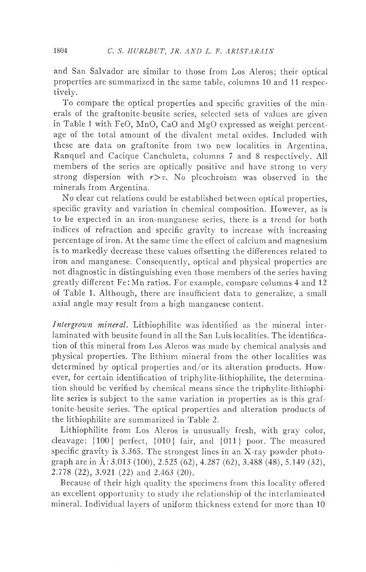and San Salvador are similar to those from Los Aleros; their optical properties are summarized in the same table, columns 10 and 11 respectively.

To compare the optical properties and specific gravities of the minerals of the graftonite-beusite series, selected sets of values are given in Table 1 with FeO, MnO, CaO and MgO expressed as weight percentage of the total amount of the divalent metal oxides. Included with these are data on graftonite from two new localities in Argentina, Ranquel and Cacique Canchuleta, columns 7 and 8 respectively. AII members of the series are optically positive and have strong to very strong dispersion with  $r > v$ . No pleochroism was observed in the minerals from Argentina.

No clear cut relations could be established between optical properties, specific gravity and variation in chemical composition. However, as is to be expected in an iron-manganese series, there is a trend for both indices of refraction and specific gravity to increase with increasing percentage of iron. At the same time the effect of calcium and magnesium is to markedly decrease these values offsetting the differences related to iron and manganese. Consequently, optical and physical properties are not diagnostic in distinguishing even those members of the series having greatly different Fe: Mn ratios. For example, compare columns 4 and 12 of Table 1. Although, there are insufficient data to generalize, a small axial angle may result from a high manganese content.

Intergrown mineral. Lithiophilite was identified as the mineral interlaminated with beusite found in all the San Luis localities. The identification of this mineral from Los Aleros was made by chemical analysis and physical properties. The lithium mineral from the other localities was determined by optical properties and/or its alteration products. However, for certain identification of triphylite-lithiophilite, the determination should be verified by chemical means since the triphylite-lithiophilite series is subject to the same variation in properties as is this graftonite-beusite series. The optical properties and alteration products of the lithiophilite are summarized in Table 2.

Lithiophilite from Los Aleros is unusuallv fresh, with gray color, cleavage:  $\{100\}$  perfect,  $\{010\}$  fair, and  $\{011\}$  poor. The measured specific gravity is 3.365. The strongest lines in an X-ray powder photograph are in A: 3.013 (100), 2.525 (62),4.287 (62), 3.488 (48), 5.149 (32), 2.778 (22),3.921 (22) and 2.463 (20).

Because of their high quality the specimens from this locality offered an excellent opportunity to study the relationship of the interlaminated mineral. Individual lavers of uniform thickness extend for more than 10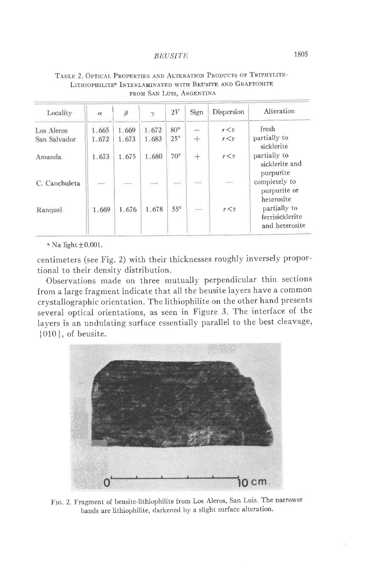| Locality      | $\alpha$                 | $\beta$ |        | 2V                       | Sign                     | Dispersion | Alteration                                                      |
|---------------|--------------------------|---------|--------|--------------------------|--------------------------|------------|-----------------------------------------------------------------|
| Los Aleros    | 1.665                    | 1.669   | 1.672  | $80^\circ$               | ₩                        | r < v      | fresh                                                           |
| San Salvador  | 1.672                    | 1.673   | 1.683  | $25^{\circ}$             | $^{+}$                   | r < v      | partially to                                                    |
| Amanda        | 1.673                    | 1.675   | 1.680  | $70^{\circ}$             | $^{+}$                   | r < v      | sicklerite<br>partially to<br>sicklerite and                    |
| C. Canchuleta | $\overline{\phantom{a}}$ | m.      | $\sim$ | $\overline{\phantom{a}}$ | $\sim$                   | $\equiv$   | purpurite<br>completely to<br>purpurite or                      |
| Ranquel       | 1.669                    | 1.676   | 1.678  | $55^{\circ}$             | $\overline{\phantom{a}}$ | r < v      | heterosite<br>partially to<br>ferrisicklerite<br>and heterosite |

## TABLE 2. OPTICAL PROPERTIES AND ALTERATION PRODUCTS OF TRIPHYLITE-LITHJOPHILITE<sup>&</sup> INTERLAMINATED WITH BEUSITE AND GRAFTONITE FROM SAN LUIS, ARGENTINA

 $^{\circ}$  Na light  $\pm 0.001$ .

centimeters (see Fig. 2) with their thicknesses roughly inversely proportional to their density distribution.

Observations made on three mutually perpendicular thin sections from a large fragment indicate that all the beusite layers have a common crystallographic orientation. The lithiophilite on the other hand presents several optical orientations, as seen in Figure 3. The interface of the layers is an undulating surface essentially parallel to the best cleavage,  ${010}$ , of beusite.



FIG. 2. Fragment of beusite-lithiophilite from Los Aleros, San Luis. The narrower bands are lithiophilite, darkened by a slight surface alteration.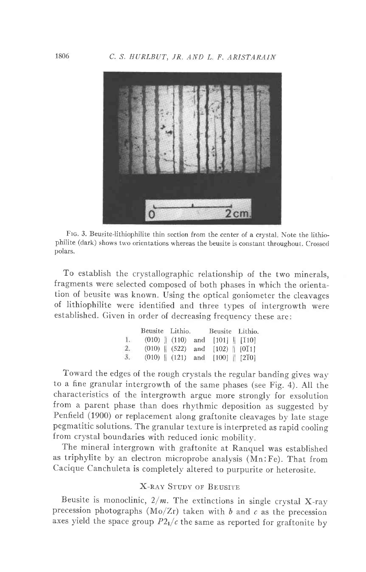

FIG. 3. Beusite-lithiophilite thin section from the center of a crystal. Note the lithiophilite (dark) shows two orientations whereas the beusite is constant throughout. Crossed polars.

To establish the crystallographic relationship of the two minerals, fragments were selected composed of both phases in which the orientation of beusite was known. Using the optical goniometer the cleavages of lithiophilite were identified and three types of intergrowth were established. Given in order of decreasing frequency these are:

|    | Beusite Lithio. Beusite Lithio.            |  |                                                |  |
|----|--------------------------------------------|--|------------------------------------------------|--|
|    | 1. $(010)$   $(110)$ and $[101]$   $[110]$ |  |                                                |  |
| 2. |                                            |  | $(010)$ $(522)$ and $[102)$ $[0]$              |  |
| 3. |                                            |  | $(010)$ $(121)$ and $[100]$ $[2\overline{1}0]$ |  |

Toward the edges of the rough crystals the regular banding gives wav to a fine granular intergrowth of the same phases (see Fig.4). AII the characteristics of the intergrowth argue more strongly for exsolution from a parent phase than does rhythmic deposition as suggested by Penfield (1900) or replacement along graftonite cleavages by late stage pegmatitic solutions. The granular texture is interpreted as rapid cooling from crystal boundaries with reduced ionic mobility.

The mineral intergrown with graftonite at Ranquel was established as triphylite by an electron microprobe analysis (Mn:Fe). That from Cacique Canchuleta is completely altered to purpurite or heterosite.

## X-RAY STUDY OF BEISITE

Beusite is monoclinic,  $2/m$ . The extinctions in single crystal X-ray precession photographs (Mo/Zr) taken with  $b$  and  $c$  as the precession axes yield the space group  $P2<sub>1</sub>/c$  the same as reported for graftonite by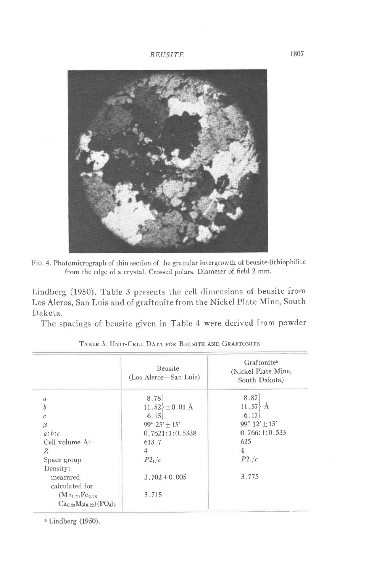

FIG. 4. Photomicrograph of thin section of the granular intergrowth of beusite-lithiophilite from the edge of a crystal. Crossed polars. Diameter of field 2 mm.

Lindberg (1950). Table 3 presents the cell dimensions of beusite from Los Aleros, San Luis and of graftonite from the Nickel Plate Mine, South Dakota.

The spacings of beusite given in Table 4 were derived from powder

|                                                                               | <b>Beusite</b><br>(Los Aleros—San Luis) | Graftonite <sup>a</sup><br>(Nickel Plate Mine,<br>South Dakota) |
|-------------------------------------------------------------------------------|-----------------------------------------|-----------------------------------------------------------------|
| $\overline{a}$                                                                | 8.78                                    | 8.87                                                            |
| ĥ                                                                             | $11.52 \pm 0.01$ Å                      | $11,57\overline{\smash{\big\}}\lambda$                          |
| $\epsilon$                                                                    | 6.15                                    | 6.17                                                            |
| β                                                                             | $99^{\circ} 25' + 15'$                  | 99° $12' \pm 15'$                                               |
| a:b:c                                                                         | 0.7621:1:0.5338                         | 0.766:1:0.533                                                   |
| Cell volume Å <sup>3</sup>                                                    | 613.7                                   | 625                                                             |
| Z                                                                             | $\overline{4}$                          | $\overline{4}$                                                  |
| Space group<br>Density:                                                       | $P2_1/c$                                | $P2_1/c$                                                        |
| measured<br>calculated for                                                    | $3.702 \pm 0.005$                       | 3.775                                                           |
| $(Mn_{1-77}Fe_{0.70}$<br>$Ca_{0.29}Mg_{0.22}$ (PO <sub>4</sub> ) <sub>2</sub> | 3.715                                   |                                                                 |

| TABLE 3. UNIT-CELL DATA FOR BEUSITE AND GRAFTONITE |
|----------------------------------------------------|
|----------------------------------------------------|

 $a$  Lindberg (1950).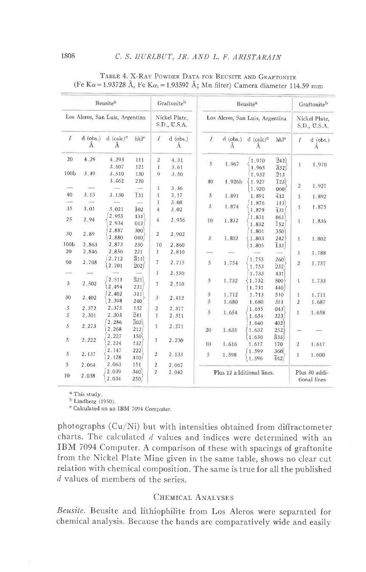|                               |                 | Beusite <sup>3</sup>                      |                                        |                                      | Graftoniteb                   |                  |                                 | Beusite <sup>n</sup>         |                                |                         | Graftoniteb                   |
|-------------------------------|-----------------|-------------------------------------------|----------------------------------------|--------------------------------------|-------------------------------|------------------|---------------------------------|------------------------------|--------------------------------|-------------------------|-------------------------------|
|                               |                 | Los Aleros, San Luis, Argentina           |                                        |                                      | Nickel Plate.<br>S.D., U.S.A. |                  | Los Aleros, San Luis, Argentina |                              |                                |                         | Nickel Plate.<br>S.D., U.S.A. |
| Ι                             | $d$ (obs.)<br>Ä | $d$ (calc) <sup><math>c</math></sup><br>Ă | hkl <sup>e</sup>                       | $\overline{I}$                       | $d$ (obs.)<br>Å               | X                | $d$ (obs.)<br>Å                 | $d$ (calc) <sup>c</sup><br>Ä | hkl <sup>e</sup>               | I                       | $d$ (obs.)<br>Ă               |
| 20<br>100 <sub>b</sub>        | 4.29<br>3:49    | 4.293<br>3,607                            | 111<br>121                             | $\sqrt{2}$<br>1                      | 4.31<br>3.61                  | 5                | 1.967                           | 1.970<br>1.965               | $\bar{2}42$<br>332             | $\mathbf{I}$            | 1.970                         |
|                               |                 | 3.510<br>3.462                            | 130<br>220<br>$\overline{\phantom{a}}$ | 9<br>1                               | 3.50<br>3.36                  | 40               | 1.926b                          | 1.932<br>1.927<br>1.920      | 213<br>$\overline{1}23$<br>060 | $\overline{\mathbf{2}}$ | 1.927                         |
| 40                            | 3.13            | 3.130                                     | 131                                    | 1                                    | 3.17                          | 5                | 1.891                           | 1,891                        | 412                            | t.                      | 1.892                         |
| 35                            | 3,01            | $\leftarrow$<br>$3 - 021$                 | $\overline{1}02$                       | 1<br>4                               | 3.08<br>$3 - 02$              | $\overline{5}$   | 1.874                           | 1,876<br>1,879               | 113<br>431                     | $\mathbf{I}$            | 1.875                         |
| 25                            | 2.94            | 2.955<br>2.934                            | 131<br>012                             | $\overline{4}$                       | 2.956                         | 10               | 1.832                           | 1.831<br>1.832               | 061<br>$\overline{1}$ 52       | 1                       | 1,836                         |
| 30                            | 2,89            | 2.887<br>2.880                            | 300<br>040                             | $\overline{\mathbf{c}}$              | 2.902                         | 5.               | 1.802                           | 1.801<br>1.803               | 350<br>242                     | $\mathbf{I}$            | 1.802                         |
| 100 <sub>b</sub>              | 2.863           | 2.873                                     | 230                                    | 10                                   | 2.860                         |                  |                                 | 1.805                        | $\overline{1}33$               |                         |                               |
| 20                            | 2.846           | 2.850<br>2.712                            | 221<br>$\overline{3}11$                | $\mathbf{1}$                         | 2.810                         |                  |                                 |                              |                                | 1                       | 1.788                         |
| 60                            | 2.708           | 2.701                                     | $\overline{2}02/$                      | 7                                    | 2.715                         | 5                | 1.754                           | 1.755<br>1.753               | 260<br>252                     | $\boldsymbol{2}$        | 1.757                         |
| 5                             | 2.502           | 2.511<br>2.494                            | $\bar{3}21$<br>231                     | $\mathbf{1}$<br>$\mathbf{1}$         | 2.550<br>2.510                | 5                | 1.732                           | 1.733<br>1.732<br>1.731      | 431<br>500<br>440              | $\mathbf{1}$            | 1.733                         |
| 30                            | 2.402           | 2.402<br>2.398                            | 311<br>240                             | $\boldsymbol{\mathcal{S}}$           | 2,412                         | 5<br>$\tilde{5}$ | 1.712<br>1.680                  | 1.713<br>1.680               | 510<br>351                     | 1<br>$\overline{2}$     | 1.711<br>1.687                |
| $\mathbf 5$<br>$\overline{5}$ | 2,372<br>2,301  | 2.375<br>2,303                            | 132<br>241                             | $\cdot$ <sub>2</sub><br>$\mathbf{1}$ | 2.377<br>2.311                | $\overline{5}$   | 1.654                           | 1:655<br>1.654               | 043<br>223                     | 1                       | 1.658                         |
| 5                             | 2.273           | 2,286<br>2,268                            | 302)<br>212                            | 1                                    | 2.271                         | 20               | 1.635                           | 1.640<br>1.632               | 402<br>252                     |                         |                               |
| 5                             | 2.222           | 2.227<br>2.224                            | 150<br>132                             | $\mathbf{1}$                         | $2 - 230$                     | 10               | 1.616                           | 1.630<br>1.617               | $\overline{3}33$<br>170        | $\overline{2}$          | 1.617                         |
| $\mathcal{S}$                 | 2.137           | 2.147<br>2.128                            | 222<br>410 <sup>2</sup>                | $\overline{2}$                       | 2.133                         | $\mathbf 5$      | 1.598                           | 1.599<br>1,596               | 360<br>442                     | 1                       | 1.600                         |
| 5                             | 2.064           | 2.063                                     | 151                                    | $\overline{2}$                       | 2.067                         |                  |                                 |                              |                                |                         |                               |
| 10                            | 2.038           | 2.039<br>2.034                            | 340<br>250/                            | $\overline{2}$                       | 2.042                         |                  | Plus 12 additional lines.       |                              |                                |                         | Plus 30 addi-<br>tional lines |

| TABLE 4. X-RAY POWDER DATA FOR BEUSITE AND GRAFTONITE                                                    |  |  |
|----------------------------------------------------------------------------------------------------------|--|--|
| (Fe K $\alpha$ = 1.93728 Å, Fe K $\alpha$ <sub>1</sub> = 1.93597 Å; Mn filter) Camera diameter 114.59 mm |  |  |

 $^{\rm a}$  This study.

 $<sup>b</sup> Lindberg (1950)$ .</sup>

e Calculated on an IBM 7094 Computer.

photographs (Cu/Ni) but with intensities obtained from diffractometer charts. The calculated  $d$  values and indices were determined with an IBM 7094 Computer. A comparison of these with spacings of graftonite from the Nickel Plate Mine given in the same table, shows no clear cut relation with chemical composition. The same is true for all the published  $d$  values of members of the series.

### CHEMICAL ANALYSES

Beusite. Beusite and lithiophilite from Los Aleros were separated for chemical analysis. Because the bands are comparatively wide and easily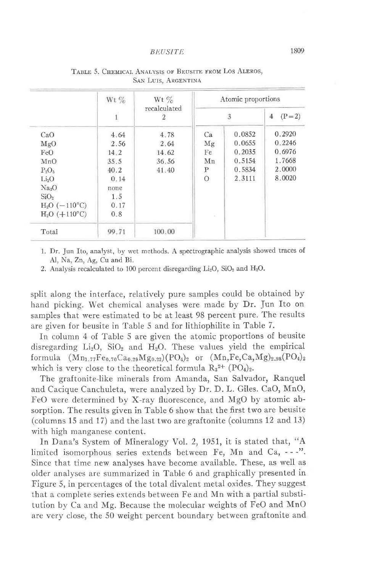|                       | Wt%          | Wt $\%$           |          | Atomic proportions |                             |
|-----------------------|--------------|-------------------|----------|--------------------|-----------------------------|
|                       | $\mathbf{1}$ | recalculated<br>2 |          | 3                  | $(P = 2)$<br>$\overline{4}$ |
| CaO                   | 4.64         | 4.78              | Ca       | 0.0852             | 0.2920                      |
| MgO                   | 2.56         | 2.64              | Mg       | 0.0655             | 0.2246                      |
| FeO                   | 14.2         | 14.62             | Fe       | 0.2035             | 0.6976                      |
| MnO                   | 35.5         | 36.56             | Mn       | 0.5154             | 1.7668                      |
| $P_2O_5$              | 40.2         | 41.40             | P        | 0.5834             | 2.0000                      |
| Li <sub>2</sub> O     | 0.14         |                   | $\Omega$ | 2.3111             | 8.0020                      |
| Na <sub>2</sub> O     | none         |                   |          |                    |                             |
| SiO <sub>2</sub>      | 1.5          |                   |          |                    |                             |
| $H_2O(-110^{\circ}C)$ | 0.17         |                   |          |                    |                             |
| $H_2O$ (+110°C)       | 0.8          |                   |          |                    |                             |
| Total                 | 99.71        | 100.00            |          |                    |                             |

TABLE 5. CHEMICAL ANALYSIS OF BEUSITE FROM LOS ALEROS, SAN LUIS, ARGENTINA

1. Dr. Jun Ito, analyst, by wet methods. A spectrographic analysis showed traces of Al, Na, Zn, Ag, Cu and Bi.

2. Analysis recalculated to 100 percent disregarding  $Li_2O$ ,  $SiO_2$  and  $H_2O$ .

split along the interface, relatively pure samples could be obtained by hand picking. Wet chemical analyses were made by Dr. Jun Ito on samples that were estimated to be at least 98 percent pure. The results are given for beusite in Table 5 and for lithiophilite in Table 7.

In column 4 of Table 5 are given the atomic proportions of beusite disregarding  $Li_2O$ ,  $SiO_2$  and  $H_2O$ . These values yield the empirical formula  $(Mn_{1.77}Fe_{0.70}Ca_{0.29}Mg_{0.22})(PO_4)_2$  or  $(Mn,Fe,Ca,Mg)_{2.98}(PO_4)_2$ which is very close to the theoretical formula  $R_3^{2+}$  (PO<sub>4</sub>)<sub>2</sub>.

The graftonite-like minerals from Amanda, San Salvador, Ranquel and Cacique Canchuleta, were analyzed by Dr. D. L. Giles. CaO, MnO, FeO were determined by X-ray fluorescence, and MgO by atomic absorption. The results given in Table 6 show that the first two are beusite (columns 15 and 17) and the last two are graftonite (columns 12 and 13) with high manganese content.

fn Dana's System of Mineralogy Vol. 2, 1951, it is stated that, "A limited isomorphous series extends between Fe, Mn and Ca, - - -". Since that time new analyses have become available. These, as well as older analyses are summarized in Table 6 and graphically presented in Figure 5, in percentages of the total divalent metal oxides. They suggest that a complete series extends between Fe and Mn with a partial substitution by Ca and Mg. Because the molecular weights of FeO and MnO are very close, the 50 weight percent boundary between graftonite and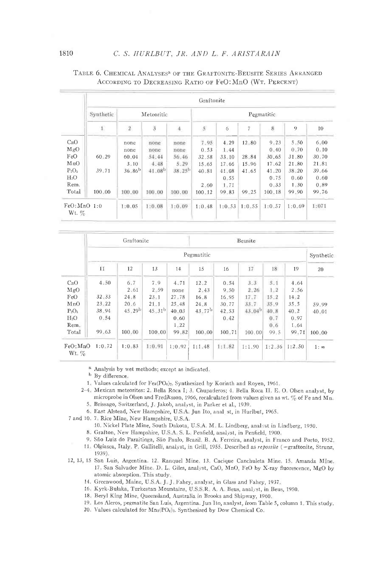|                          |           |             |                    |                    | Graftonite     |        |        |            |                |          |
|--------------------------|-----------|-------------|--------------------|--------------------|----------------|--------|--------|------------|----------------|----------|
|                          | Synthetic |             | Meteoritic         |                    |                |        |        | Pegmatitic |                |          |
|                          | 1         | $\,2$       | Ï                  | $\ddot{+}$         | $\mathfrak{h}$ | 6      | 7      | 8          | $\overline{Q}$ | 10       |
| CaO                      |           | none        | none               | none               | 7.95           | 4.29   | 12.80  | 9.23       | 5.50           | 6.00     |
| MgO                      |           | none        | none               | попе               | 0.53           | 1.44   |        | 0.40       | 0.70           | 0.10     |
| FeO                      | 60.29     | 60.04       | 54.44              | 56.46              | 32.58          | 33.10  | 28 84  | 30.65      | 31.80          | 30.70    |
| MnO                      |           | $3 - 10$    | 4.48               | 5.29               | $15 - 65$      | 17.66  | 15.96  | 17.62      | 21.80          | 21.81    |
| $P_2O_5$                 | 39.71     | $36.86^{b}$ | 41.08 <sup>b</sup> | 38.25 <sup>b</sup> | 40.81          | 41.08  | 41.65  | 41.20      | 38,20          | 39.66    |
| $H_2O$                   |           |             |                    |                    |                | 0.55   |        | 0.75       | 0.60           | 0.60     |
| Rem.                     |           |             |                    |                    | 2.60           | 1.71   |        | 0.33       | 1.30           | $0 - 89$ |
| Total                    | 100.00    | 100.00      | 100.00             | 100.00             | $100 - 12$     | 99.83  | 99.25  | $100 - 18$ | 99.90          | 99.76    |
| FeO: MnO 1:0<br>Wt. $\%$ |           | 1:0.05      | 1:0.08             | 1:0.09             | 1:0.48         | 1:0.53 | 1:0.55 | 1:0.57     | 1:0.69         | 1:071    |

### TABLE 6. CHEMICAL ANALYSES<sup>8</sup> OF THE GRAFTONITE-BEUSITE SERIES ARRANGED ACCORDING TO DECREASING RATIO OF FeO: MnO (WT. PERCENT)

|                      |           | Graftonite         |                    |           |                    |        | Beusite     |        |          |             |
|----------------------|-----------|--------------------|--------------------|-----------|--------------------|--------|-------------|--------|----------|-------------|
|                      |           |                    |                    |           | Pegmatitic         |        |             |        |          | Synthetic   |
|                      | 11        | 12                 | 13                 | 14        | 15                 | 16     | 17          | 18     | 19       | 20          |
| CaO                  | 4:50      | 6.7                | 7.9                | 4.71      | 12.2               | 0.54   | 3.3         | 5.1    | 4.64     |             |
| MgO                  |           | 2.61               | $2 - 59$           | none      | 2.43               | 9.50   | 2.26        | 1.2    | 2.56     |             |
| FeO                  | 32.33     | 24.8               | 23.1               | $27 - 78$ | 16.8               | 16.95  | 17.7        | 15.2   | 14.2     |             |
| MnO                  | $23 - 22$ | 20.6               | 21.1               | 25.48     | 24.8               | 30.77  | 33.7        | 35.9   | $35 - 5$ | 59.99       |
| $P_2O_5$             | 38.94     | 45.29 <sup>b</sup> | 45.31 <sup>b</sup> | 40.03     | 43.77 <sup>b</sup> | 42.53  | $43.04^{b}$ | 40.8   | $40 - 2$ | 40.01       |
| H <sub>2</sub> O     | 0.54      |                    |                    | 0.60      |                    | 0.42   |             | 0.7    | 0.97     |             |
| $Rem_{n}$            |           |                    |                    | 1.22      |                    |        |             | 0.6    | $1 - 64$ |             |
| Total                | 99.63     | 100.00             | 100.00             | 99.82     | 100.00             | 100.71 | 100,001     | 99.5   | 99.71    | 100.00      |
| FeO: MnO<br>$Wt. \%$ | 1:0.72    | 1:0.83             | 1:0.91             | 1:0.92    | 1:1.48             | 1:1.82 | 1:1.90      | 1:2.36 | 1:2.50   | $1: \infty$ |

<sup>a</sup> Analysis by wet methods; except as indicated,

<sup>b</sup> By difference.

- 1. Values calculated for Fes(PO<sub>4</sub>)<sub>2</sub>, Synthesized by Korinth and Royen, 1961.
- 2-4. Mexican meteorites: 2. Bella Roca I; 3. Chupaderos; 4. Bella Roca II. E. O. Olsen analyst, by microprobe in Olsen and Frediksson, 1966, recalculated from values given as wt. % of Fe and Mn. 5. Brissago, Switzerland, J. Jakob, analyst, in Parker et al., 1939.
	- 6 East Alstead, New Hampshire, U.S.A. Jun Ito, anal st, in Hurlbut, 1965.

7 and 10, 7. Rice Mine, New Hampshire, U.S.A.

- 10. Nickel Plate Mine, South Dakota, U.S.A. M. L. Lindberg, analyst in Lindberg, 1950.
- 8. Grafton, New Hampshire, U.S.A. S. L. Penfield, analyst, in Penfield, 1900.
- 9. São Luiz do Paraitinga, São Paulo, Brazil, B. A. Ferreira, analyst, in Franco and Porto, 1952.
- 11 Olgiasca, Italy P. Gallitelli, analyst, in Grill, 1955. Described as repossite (=graftonite, Strunz, 1939).
- 12, 13, 15 San Luis, Argentina. 12. Ranquel Mine. 13. Cacique Canchuleta Mine. 15. Amanda Mine. 17. San Salvador Mine. D. L. Giles, analyst, CaO, MnO, FeO by X-ray fluorescence, MgO by atomic absorption. This study,
	- 14. Greenwood, Maine, U.S.A. J. J. Fahey, analyst, in Glass and Fahey, 1937.
	- 16. Kyrk-Bulaka, Turkestan Mountains, U.S.S.R. A. A. Beus, analyst, in Beus, 1950.
	- 18. Beryl King Mine, Queensland, Australia in Brooks and Shipway, 1960.
	- 19 Los Aleros, pegmatite San Luis, Argentina. Jun Ito, analyst, from Table 5, column 1. This study.
	- 20 Values calculated for Mn<sub>3</sub>(PO<sub>4</sub>)<sub>2</sub>. Synthesized by Dow Chemical Co.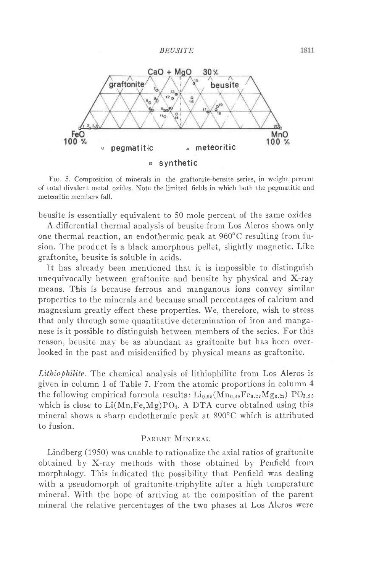

Frc. 5. Composition of minerals in the graftonite-beusite series, in weight percent of total divalent metal oxides. Note the limited fields in which both the pegmatitic and meteoritic members fall.

beusite is essentially equivalent to 50 mole percent of the same oxides

A differential thermal analysis of beusite from Los Aleros shows only one thermal reaction, an endothermic peak at  $960^{\circ}$ C resulting from fusion. The product is a black amorphous pellet, slightly magnetic. Like graftonite, beusite is soluble in acids.

It has already been mentioned that it is impossible to distinguish unequivocally between graftonite and beusite by physical and X-ray means. This is because ferrous and manganous ions convey similar properties to the minerals and because small percentages of calcium and magnesium greatly effect these properties. We, therefore, wish to stress that only through some quantitative determination of iron and manganese is it possible to distinguish between members of the series. For this reason, beusite may be as abundant as graftonite but has been over-Iooked in the past and misidentified by physical means as graftonite.

Lithiophilite. The chemical analysis of lithiophilite from Los Aleros is given in column 1 of Table 7. From the atomic proportions in column 4 the following empirical formula results:  $\rm{Li}_{0.95}(Mn_{0.48}Fe_{0.27}Mg_{0.22})$   $\rm{PO}_{3.95}$ which is close to  $Li(Mn,Fe,Mg)PO<sub>4</sub>$ . A DTA curve obtained using this mineral shows a sharp endothermic peak at 890"C which is attributed to fusion.

# PARENT MINERAL

Lindberg (1950) was unable to rationalize the axial ratios of graftonite obtained by X-ray methods with those obtained by Penfield from morphology. This indicated the possibility that Penfield was dealing with a pseudomorph of graftonite-triphylite after a high temperature mineral. With the hope of arriving at the composition of the parent mineral the relative percentages of the two phases at Los Aleros were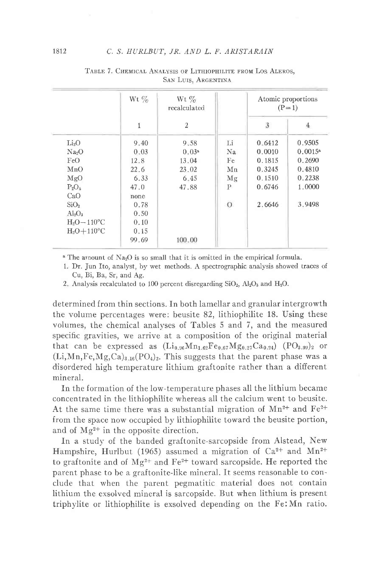|                           | Wt $\%$      | Wt $\%$<br>recalculated |                |        | Atomic proportions<br>$(P=1)$ |
|---------------------------|--------------|-------------------------|----------------|--------|-------------------------------|
|                           | $\mathbf{1}$ | $\overline{2}$          |                | 3      | 4                             |
| Li <sub>2</sub> O         | 9.40         | 9.58                    | Li             | 0.6412 | 0.9505                        |
| Na <sub>2</sub> O         | 0.03         | 0.03 <sup>a</sup>       | Na             | 0.0010 | $0.0015^{\rm a}$              |
| FeO                       | 12.8         | 13.04                   | Fe             | 0.1815 | 0.2690                        |
| MnO                       | 22.6         | 23.02                   | Mn             | 0.3245 | 0.4810                        |
| MgO                       | 6.33         | 6.45                    | Mg             | 0.1510 | 0.2238                        |
| $P_2O_5$                  | 47.0         | 47.88                   | P              | 0.6746 | 1.0000                        |
| CaO                       | none         |                         |                |        |                               |
| SiO <sub>2</sub>          | 0.78         |                         | $\overline{O}$ | 2.6646 | 3.9498                        |
| $Al_2O_3$                 | 0.50         |                         |                |        |                               |
| $H_2O-110^{\circ}C$       | 0.10         |                         |                |        |                               |
| $H_2O+110$ <sup>o</sup> C | 0.15         |                         |                |        |                               |
|                           | 99.69        | 100.00                  |                |        |                               |

TABLE 7. CHEMICAL ANALYSIS OF LITHIOPHILITE FROM LOS ALEROS. **SAN LUIS, ARGENTINA** 

 $^a$  The amount of Na<sub>2</sub>O is so small that it is omitted in the empirical formula.

1. Dr. Jun Ito, analyst, by wet methods. A spectrographic analysis showed traces of Cu, Bi, Ba, Sr, and Ag.

2. Analysis recalculated to 100 percent disregarding SiO<sub>2</sub>, Al<sub>2</sub>O<sub>3</sub> and H<sub>2</sub>O.

determined from thin sections. In both lamellar and granular intergrowth the volume percentages were: beusite 82, lithiophilite 18. Using these volumes, the chemical analyses of Tables 5 and 7, and the measured specific gravities, we arrive at a composition of the original material that can be expressed as  $(Li_{0.96}Mn_{1.62}Fe_{0.67}Mg_{0.27}Ca_{0.24})$  (PO<sub>3.99</sub>)<sub>2</sub> or  $(Li,Mn,Fe,Mg,Ca)_{3.16}(PO_4)_2$ . This suggests that the parent phase was a disordered high temperature lithium graftonite rather than a different mineral.

In the formation of the low-temperature phases all the lithium became concentrated in the lithiophilite whereas all the calcium went to beusite. At the same time there was a substantial migration of  $Mn^{2+}$  and  $Fe^{2+}$ from the space now occupied by lithiophilite toward the beusite portion, and of  $Mg^{2+}$  in the opposite direction.

In a study of the banded graftonite-sarcopside from Alstead, New Hampshire, Hurlbut (1965) assumed a migration of  $Ca^{2+}$  and  $Mn^{2+}$ to graftonite and of  $Mg^{2+}$  and  $Fe^{2+}$  toward sarcopside. He reported the parent phase to be a graftonite-like mineral. It seems reasonable to conclude that when the parent pegmatitic material does not contain lithium the exsolved mineral is sarcopside. But when lithium is present triphylite or lithiophilite is exsolved depending on the Fe: Mn ratio.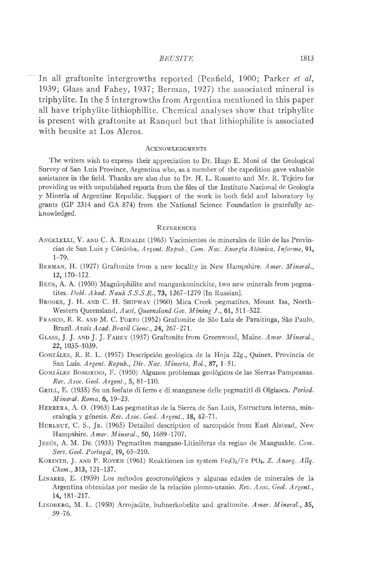In all graftonite intergrowths reported (Penfield, 1900; Parker et al, 1939; Glass and Fahey, 1937; Berman, 1927) the associated mineral is triphylite. In the 5 intergrowths from Argentina mentioned in this paper all have triphylite-lithiophilite. Chemical analyses show that triphylite is present with graftonite at Ranquel but that lithiophilite is associated with beusite at Los Aleros.

#### **ACKNOWLEDGMENTS**

The writers wish to express their appreciation to Dr. Hugo E. Moni of the Geological Survey of San Luis Province, Argentina who, as a member of the expedition gave valuable assistance in the field. Thanks are also due to Dr. H. L. Rossetto and Mr. R. Tejeiro for providing us with unpublished reports from the files of the Instituto Nacional de Geologia y Mineria of Argentine Republic. Support of the work in both field and laboratory by grants (GP 2314 and GA 874) from the National Science Foundation is gratefuily acknowledged.

### REFERENCES

- ANGELELLI, V. AND C. A. RINALDI (1963) Yacimientos de minerales de litio de las Provincias de San Luis y Córdoba, Argent. Repub., Com. Nac. Energía Atómica, Informe, 91,  $1 - 79.$
- BERMAN, H. (1927) Graftonite from a new locality in New Hampshire. Amer. Mineral., 12, l7o-172.
- BEUS, A. A. (1950) Magniophilite and mangankoninckite, two new minerals from pegmatites. Dokl. Akad. Nauk S.S.S.R., 73, 1267-1279 [In Russian].
- BROOKS, J. H. AND C. H. SHIPWAY (1960) Mica Creek pegmatites, Mount Isa, North-Western Queensland, Aust, Queensland Gov. Mining J., 61, 511-522.
- FRANCO, R. R. AND M. C. PORTO (1952) Graftonite de São Luiz de Paraitinga, São Paulo, Brazil. Avais Acad. Brasil Cienc., 24, 267-271.
- GLASS, J. J. AND J. J. FAHEY (1937) Graftonite from Greenwood, Maine. Amer. Mineral., 22,1035-1039.
- GONZÁLES, R. R. L. (1957) Descripción geológica de la Hoja 22g., Quines, Provincia de San Luis. Argent. Repub., Dir. Nac. Minería, Bol., 87, 1-51.
- GONZÁLEZ BONORINO, F. (1950) Algunos problemas geológicos de las Sierras Pampeanas. Rev. Asoc. Geol. Argent., 5, 81-110.
- GRILL, E. (1935) Su un fosfato di ferro e di manganese delle pegmatiti di Olgiasca. Period. Mineral. Roma, 6, 19-23.
- HERRERA, A. O. (1963) Las pegmatitas de la Sierra de San Luis, Estructura interna, mineralogía y génesis. Rev. Asoc. Geol. Argent., 18, 42-71.
- HURLBUT, C. S., JR. (1965) Detailed description of sarcopside from East Alstead, New Hampshire. Amer. Mineral., 50, 1689-1707.
- JESÚS, A. M. DE (1933) Pegmatites mangano-Litiniferas da regiao de Mangualde. Com. Serv. Geol. Portugal, 19, 65-210.
- KORINTH, J. AND P. ROYEN (1961) Reaktionen im system Fe2O<sub>3</sub>/Fe PO<sub>4</sub>. Z. Anorg. Allq. Chem., 313, 121-137.
- LINARES, E. (1959) Los métodos geocronológicos y algunas edades de minerales de la Argentina obtenidas por medio de la relación plomo-uranio. Rev. Asoc. Geol. Argent., t4, 181-217.
- LINDBERG, M. L. (1950) Arrojadite, huhnerkobelite and graftonite. Amer. Mineral., 35, 59,76.